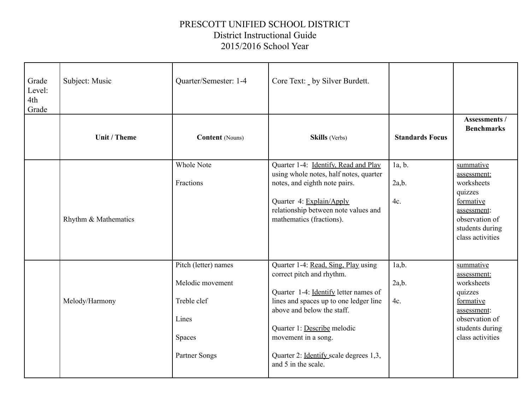## PRESCOTT UNIFIED SCHOOL DISTRICT District Instructional Guide 2015/2016 School Year

| Grade<br>Level:<br>4th<br>Grade | Subject: Music       | Quarter/Semester: 1-4                                                                              | Core Text: _ by Silver Burdett.                                                                                                                                                                                                                                                                          |                        |                                                                                                                                        |
|---------------------------------|----------------------|----------------------------------------------------------------------------------------------------|----------------------------------------------------------------------------------------------------------------------------------------------------------------------------------------------------------------------------------------------------------------------------------------------------------|------------------------|----------------------------------------------------------------------------------------------------------------------------------------|
|                                 | Unit / Theme         | <b>Content</b> (Nouns)                                                                             | <b>Skills</b> (Verbs)                                                                                                                                                                                                                                                                                    | <b>Standards Focus</b> | Assessments /<br><b>Benchmarks</b>                                                                                                     |
|                                 | Rhythm & Mathematics | <b>Whole Note</b><br>Fractions                                                                     | Quarter 1-4: Identify, Read and Play<br>using whole notes, half notes, quarter<br>notes, and eighth note pairs.<br>Quarter 4: Explain/Apply<br>relationship between note values and<br>mathematics (fractions).                                                                                          | 1a, b.<br>2a,b.<br>4c. | summative<br>assessment:<br>worksheets<br>quizzes<br>formative<br>assessment:<br>observation of<br>students during<br>class activities |
|                                 | Melody/Harmony       | Pitch (letter) names<br>Melodic movement<br>Treble clef<br>Lines<br><b>Spaces</b><br>Partner Songs | Quarter 1-4: Read, Sing, Play using<br>correct pitch and rhythm.<br>Quarter 1-4: Identify letter names of<br>lines and spaces up to one ledger line<br>above and below the staff.<br>Quarter 1: Describe melodic<br>movement in a song.<br>Quarter 2: Identify scale degrees 1,3,<br>and 5 in the scale. | 1a,b.<br>2a,b.<br>4c.  | summative<br>assessment:<br>worksheets<br>quizzes<br>formative<br>assessment:<br>observation of<br>students during<br>class activities |